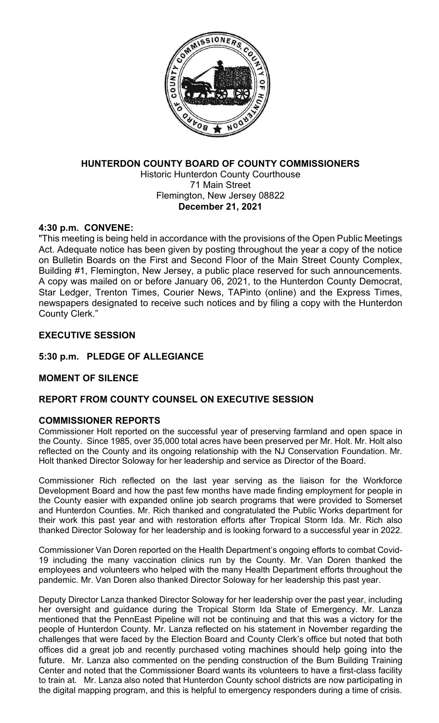

## **HUNTERDON COUNTY BOARD OF COUNTY COMMISSIONERS** Historic Hunterdon County Courthouse 71 Main Street Flemington, New Jersey 08822 **December 21, 2021**

## **4:30 p.m. CONVENE:**

"This meeting is being held in accordance with the provisions of the Open Public Meetings Act. Adequate notice has been given by posting throughout the year a copy of the notice on Bulletin Boards on the First and Second Floor of the Main Street County Complex, Building #1, Flemington, New Jersey, a public place reserved for such announcements. A copy was mailed on or before January 06, 2021, to the Hunterdon County Democrat, Star Ledger, Trenton Times, Courier News, TAPinto (online) and the Express Times, newspapers designated to receive such notices and by filing a copy with the Hunterdon County Clerk."

## **EXECUTIVE SESSION**

#### **5:30 p.m. PLEDGE OF ALLEGIANCE**

## **MOMENT OF SILENCE**

## **REPORT FROM COUNTY COUNSEL ON EXECUTIVE SESSION**

#### **COMMISSIONER REPORTS**

Commissioner Holt reported on the successful year of preserving farmland and open space in the County. Since 1985, over 35,000 total acres have been preserved per Mr. Holt. Mr. Holt also reflected on the County and its ongoing relationship with the NJ Conservation Foundation. Mr. Holt thanked Director Soloway for her leadership and service as Director of the Board.

Commissioner Rich reflected on the last year serving as the liaison for the Workforce Development Board and how the past few months have made finding employment for people in the County easier with expanded online job search programs that were provided to Somerset and Hunterdon Counties. Mr. Rich thanked and congratulated the Public Works department for their work this past year and with restoration efforts after Tropical Storm Ida. Mr. Rich also thanked Director Soloway for her leadership and is looking forward to a successful year in 2022.

Commissioner Van Doren reported on the Health Department's ongoing efforts to combat Covid-19 including the many vaccination clinics run by the County. Mr. Van Doren thanked the employees and volunteers who helped with the many Health Department efforts throughout the pandemic. Mr. Van Doren also thanked Director Soloway for her leadership this past year.

Deputy Director Lanza thanked Director Soloway for her leadership over the past year, including her oversight and guidance during the Tropical Storm Ida State of Emergency. Mr. Lanza mentioned that the PennEast Pipeline will not be continuing and that this was a victory for the people of Hunterdon County. Mr. Lanza reflected on his statement in November regarding the challenges that were faced by the Election Board and County Clerk's office but noted that both offices did a great job and recently purchased voting machines should help going into the future. Mr. Lanza also commented on the pending construction of the Burn Building Training Center and noted that the Commissioner Board wants its volunteers to have a first-class facility to train at. Mr. Lanza also noted that Hunterdon County school districts are now participating in the digital mapping program, and this is helpful to emergency responders during a time of crisis.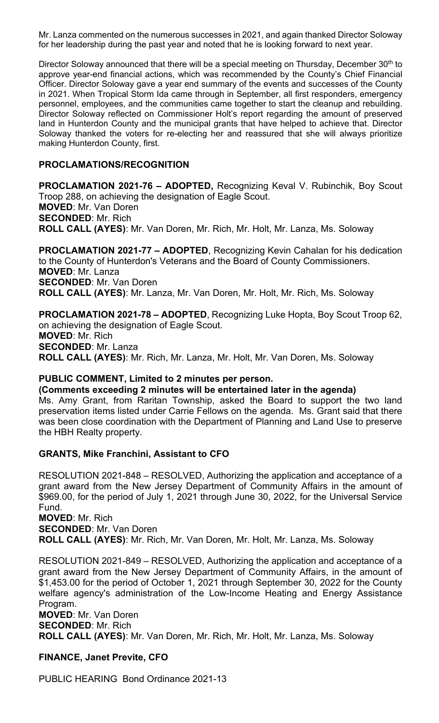Mr. Lanza commented on the numerous successes in 2021, and again thanked Director Soloway for her leadership during the past year and noted that he is looking forward to next year.

Director Soloway announced that there will be a special meeting on Thursday, December 30<sup>th</sup> to approve year-end financial actions, which was recommended by the County's Chief Financial Officer. Director Soloway gave a year end summary of the events and successes of the County in 2021. When Tropical Storm Ida came through in September, all first responders, emergency personnel, employees, and the communities came together to start the cleanup and rebuilding. Director Soloway reflected on Commissioner Holt's report regarding the amount of preserved land in Hunterdon County and the municipal grants that have helped to achieve that. Director Soloway thanked the voters for re-electing her and reassured that she will always prioritize making Hunterdon County, first.

#### **PROCLAMATIONS/RECOGNITION**

**PROCLAMATION 2021-76 – ADOPTED,** Recognizing Keval V. Rubinchik, Boy Scout Troop 288, on achieving the designation of Eagle Scout. **MOVED**: Mr. Van Doren **SECONDED**: Mr. Rich **ROLL CALL (AYES)**: Mr. Van Doren, Mr. Rich, Mr. Holt, Mr. Lanza, Ms. Soloway

**PROCLAMATION 2021-77 – ADOPTED**, Recognizing Kevin Cahalan for his dedication to the County of Hunterdon's Veterans and the Board of County Commissioners. **MOVED**: Mr. Lanza **SECONDED**: Mr. Van Doren **ROLL CALL (AYES)**: Mr. Lanza, Mr. Van Doren, Mr. Holt, Mr. Rich, Ms. Soloway

**PROCLAMATION 2021-78 – ADOPTED**, Recognizing Luke Hopta, Boy Scout Troop 62, on achieving the designation of Eagle Scout. **MOVED**: Mr. Rich **SECONDED**: Mr. Lanza **ROLL CALL (AYES)**: Mr. Rich, Mr. Lanza, Mr. Holt, Mr. Van Doren, Ms. Soloway

#### **PUBLIC COMMENT, Limited to 2 minutes per person.**

#### **(Comments exceeding 2 minutes will be entertained later in the agenda)**

Ms. Amy Grant, from Raritan Township, asked the Board to support the two land preservation items listed under Carrie Fellows on the agenda. Ms. Grant said that there was been close coordination with the Department of Planning and Land Use to preserve the HBH Realty property.

## **GRANTS, Mike Franchini, Assistant to CFO**

RESOLUTION 2021-848 – RESOLVED, Authorizing the application and acceptance of a grant award from the New Jersey Department of Community Affairs in the amount of \$969.00, for the period of July 1, 2021 through June 30, 2022, for the Universal Service Fund.

**MOVED**: Mr. Rich **SECONDED**: Mr. Van Doren **ROLL CALL (AYES)**: Mr. Rich, Mr. Van Doren, Mr. Holt, Mr. Lanza, Ms. Soloway

RESOLUTION 2021-849 – RESOLVED, Authorizing the application and acceptance of a grant award from the New Jersey Department of Community Affairs, in the amount of \$1,453.00 for the period of October 1, 2021 through September 30, 2022 for the County welfare agency's administration of the Low-Income Heating and Energy Assistance Program.

**MOVED**: Mr. Van Doren **SECONDED**: Mr. Rich **ROLL CALL (AYES)**: Mr. Van Doren, Mr. Rich, Mr. Holt, Mr. Lanza, Ms. Soloway

## **FINANCE, Janet Previte, CFO**

PUBLIC HEARING Bond Ordinance 2021-13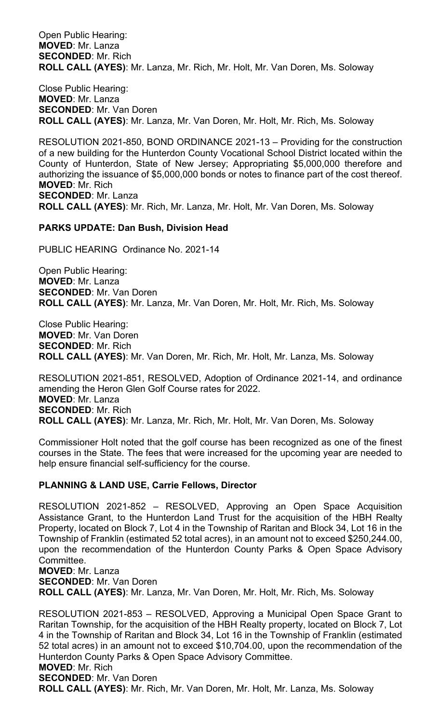Open Public Hearing: **MOVED**: Mr. Lanza **SECONDED**: Mr. Rich **ROLL CALL (AYES)**: Mr. Lanza, Mr. Rich, Mr. Holt, Mr. Van Doren, Ms. Soloway

Close Public Hearing: **MOVED**: Mr. Lanza **SECONDED**: Mr. Van Doren **ROLL CALL (AYES)**: Mr. Lanza, Mr. Van Doren, Mr. Holt, Mr. Rich, Ms. Soloway

RESOLUTION 2021-850, BOND ORDINANCE 2021-13 – Providing for the construction of a new building for the Hunterdon County Vocational School District located within the County of Hunterdon, State of New Jersey; Appropriating \$5,000,000 therefore and authorizing the issuance of \$5,000,000 bonds or notes to finance part of the cost thereof. **MOVED**: Mr. Rich **SECONDED**: Mr. Lanza **ROLL CALL (AYES)**: Mr. Rich, Mr. Lanza, Mr. Holt, Mr. Van Doren, Ms. Soloway

## **PARKS UPDATE: Dan Bush, Division Head**

PUBLIC HEARING Ordinance No. 2021-14

Open Public Hearing: **MOVED**: Mr. Lanza **SECONDED**: Mr. Van Doren **ROLL CALL (AYES)**: Mr. Lanza, Mr. Van Doren, Mr. Holt, Mr. Rich, Ms. Soloway

Close Public Hearing: **MOVED**: Mr. Van Doren **SECONDED**: Mr. Rich **ROLL CALL (AYES)**: Mr. Van Doren, Mr. Rich, Mr. Holt, Mr. Lanza, Ms. Soloway

RESOLUTION 2021-851, RESOLVED, Adoption of Ordinance 2021-14, and ordinance amending the Heron Glen Golf Course rates for 2022. **MOVED**: Mr. Lanza **SECONDED**: Mr. Rich **ROLL CALL (AYES)**: Mr. Lanza, Mr. Rich, Mr. Holt, Mr. Van Doren, Ms. Soloway

Commissioner Holt noted that the golf course has been recognized as one of the finest courses in the State. The fees that were increased for the upcoming year are needed to help ensure financial self-sufficiency for the course.

## **PLANNING & LAND USE, Carrie Fellows, Director**

RESOLUTION 2021-852 – RESOLVED, Approving an Open Space Acquisition Assistance Grant, to the Hunterdon Land Trust for the acquisition of the HBH Realty Property, located on Block 7, Lot 4 in the Township of Raritan and Block 34, Lot 16 in the Township of Franklin (estimated 52 total acres), in an amount not to exceed \$250,244.00, upon the recommendation of the Hunterdon County Parks & Open Space Advisory Committee.

**MOVED**: Mr. Lanza

**SECONDED**: Mr. Van Doren

**ROLL CALL (AYES)**: Mr. Lanza, Mr. Van Doren, Mr. Holt, Mr. Rich, Ms. Soloway

RESOLUTION 2021-853 – RESOLVED, Approving a Municipal Open Space Grant to Raritan Township, for the acquisition of the HBH Realty property, located on Block 7, Lot 4 in the Township of Raritan and Block 34, Lot 16 in the Township of Franklin (estimated 52 total acres) in an amount not to exceed \$10,704.00, upon the recommendation of the Hunterdon County Parks & Open Space Advisory Committee. **MOVED**: Mr. Rich

**SECONDED**: Mr. Van Doren

**ROLL CALL (AYES)**: Mr. Rich, Mr. Van Doren, Mr. Holt, Mr. Lanza, Ms. Soloway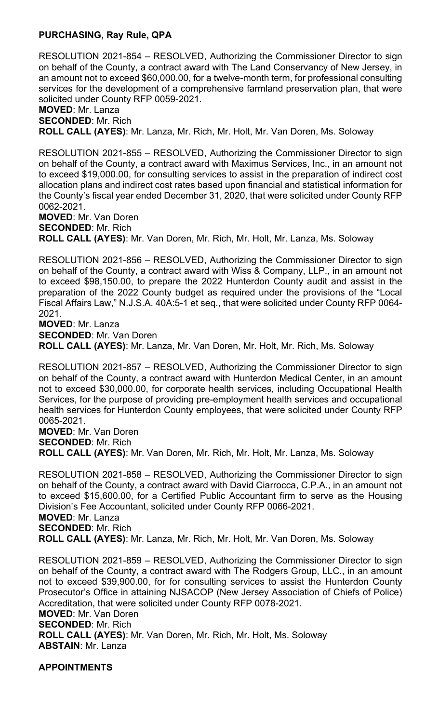# **PURCHASING, Ray Rule, QPA**

RESOLUTION 2021-854 – RESOLVED, Authorizing the Commissioner Director to sign on behalf of the County, a contract award with The Land Conservancy of New Jersey, in an amount not to exceed \$60,000.00, for a twelve-month term, for professional consulting services for the development of a comprehensive farmland preservation plan, that were solicited under County RFP 0059-2021.

**MOVED**: Mr. Lanza

**SECONDED**: Mr. Rich

**ROLL CALL (AYES)**: Mr. Lanza, Mr. Rich, Mr. Holt, Mr. Van Doren, Ms. Soloway

RESOLUTION 2021-855 – RESOLVED, Authorizing the Commissioner Director to sign on behalf of the County, a contract award with Maximus Services, Inc., in an amount not to exceed \$19,000.00, for consulting services to assist in the preparation of indirect cost allocation plans and indirect cost rates based upon financial and statistical information for the County's fiscal year ended December 31, 2020, that were solicited under County RFP 0062-2021.

**MOVED**: Mr. Van Doren **SECONDED**: Mr. Rich **ROLL CALL (AYES)**: Mr. Van Doren, Mr. Rich, Mr. Holt, Mr. Lanza, Ms. Soloway

RESOLUTION 2021-856 – RESOLVED, Authorizing the Commissioner Director to sign on behalf of the County, a contract award with Wiss & Company, LLP., in an amount not to exceed \$98,150.00, to prepare the 2022 Hunterdon County audit and assist in the preparation of the 2022 County budget as required under the provisions of the "Local Fiscal Affairs Law," N.J.S.A. 40A:5-1 et seq., that were solicited under County RFP 0064- 2021.

**MOVED**: Mr. Lanza **SECONDED**: Mr. Van Doren **ROLL CALL (AYES)**: Mr. Lanza, Mr. Van Doren, Mr. Holt, Mr. Rich, Ms. Soloway

RESOLUTION 2021-857 – RESOLVED, Authorizing the Commissioner Director to sign on behalf of the County, a contract award with Hunterdon Medical Center, in an amount not to exceed \$30,000.00, for corporate health services, including Occupational Health Services, for the purpose of providing pre-employment health services and occupational health services for Hunterdon County employees, that were solicited under County RFP 0065-2021.

**MOVED**: Mr. Van Doren **SECONDED**: Mr. Rich **ROLL CALL (AYES)**: Mr. Van Doren, Mr. Rich, Mr. Holt, Mr. Lanza, Ms. Soloway

RESOLUTION 2021-858 – RESOLVED, Authorizing the Commissioner Director to sign on behalf of the County, a contract award with David Ciarrocca, C.P.A., in an amount not to exceed \$15,600.00, for a Certified Public Accountant firm to serve as the Housing Division's Fee Accountant, solicited under County RFP 0066-2021. **MOVED**: Mr. Lanza **SECONDED**: Mr. Rich **ROLL CALL (AYES)**: Mr. Lanza, Mr. Rich, Mr. Holt, Mr. Van Doren, Ms. Soloway

RESOLUTION 2021-859 – RESOLVED, Authorizing the Commissioner Director to sign on behalf of the County, a contract award with The Rodgers Group, LLC., in an amount not to exceed \$39,900.00, for for consulting services to assist the Hunterdon County Prosecutor's Office in attaining NJSACOP (New Jersey Association of Chiefs of Police) Accreditation, that were solicited under County RFP 0078-2021. **MOVED**: Mr. Van Doren **SECONDED**: Mr. Rich **ROLL CALL (AYES)**: Mr. Van Doren, Mr. Rich, Mr. Holt, Ms. Soloway

**ABSTAIN**: Mr. Lanza

**APPOINTMENTS**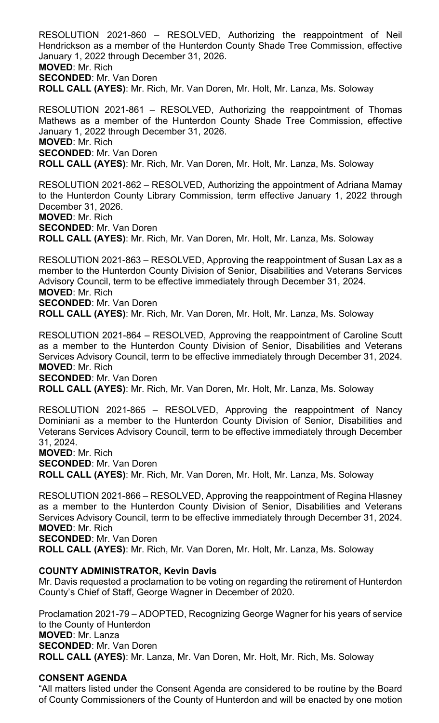RESOLUTION 2021-860 – RESOLVED, Authorizing the reappointment of Neil Hendrickson as a member of the Hunterdon County Shade Tree Commission, effective January 1, 2022 through December 31, 2026. **MOVED**: Mr. Rich **SECONDED**: Mr. Van Doren

**ROLL CALL (AYES)**: Mr. Rich, Mr. Van Doren, Mr. Holt, Mr. Lanza, Ms. Soloway

RESOLUTION 2021-861 – RESOLVED, Authorizing the reappointment of Thomas Mathews as a member of the Hunterdon County Shade Tree Commission, effective January 1, 2022 through December 31, 2026. **MOVED**: Mr. Rich **SECONDED**: Mr. Van Doren **ROLL CALL (AYES)**: Mr. Rich, Mr. Van Doren, Mr. Holt, Mr. Lanza, Ms. Soloway

RESOLUTION 2021-862 – RESOLVED, Authorizing the appointment of Adriana Mamay to the Hunterdon County Library Commission, term effective January 1, 2022 through December 31, 2026. **MOVED**: Mr. Rich **SECONDED**: Mr. Van Doren **ROLL CALL (AYES)**: Mr. Rich, Mr. Van Doren, Mr. Holt, Mr. Lanza, Ms. Soloway

RESOLUTION 2021-863 – RESOLVED, Approving the reappointment of Susan Lax as a member to the Hunterdon County Division of Senior, Disabilities and Veterans Services Advisory Council, term to be effective immediately through December 31, 2024. **MOVED**: Mr. Rich

**SECONDED**: Mr. Van Doren

**ROLL CALL (AYES)**: Mr. Rich, Mr. Van Doren, Mr. Holt, Mr. Lanza, Ms. Soloway

RESOLUTION 2021-864 – RESOLVED, Approving the reappointment of Caroline Scutt as a member to the Hunterdon County Division of Senior, Disabilities and Veterans Services Advisory Council, term to be effective immediately through December 31, 2024. **MOVED**: Mr. Rich

**SECONDED**: Mr. Van Doren

**ROLL CALL (AYES)**: Mr. Rich, Mr. Van Doren, Mr. Holt, Mr. Lanza, Ms. Soloway

RESOLUTION 2021-865 – RESOLVED, Approving the reappointment of Nancy Dominiani as a member to the Hunterdon County Division of Senior, Disabilities and Veterans Services Advisory Council, term to be effective immediately through December 31, 2024.

**MOVED**: Mr. Rich

**SECONDED**: Mr. Van Doren

**ROLL CALL (AYES)**: Mr. Rich, Mr. Van Doren, Mr. Holt, Mr. Lanza, Ms. Soloway

RESOLUTION 2021-866 – RESOLVED, Approving the reappointment of Regina Hlasney as a member to the Hunterdon County Division of Senior, Disabilities and Veterans Services Advisory Council, term to be effective immediately through December 31, 2024. **MOVED**: Mr. Rich

**SECONDED**: Mr. Van Doren

**ROLL CALL (AYES)**: Mr. Rich, Mr. Van Doren, Mr. Holt, Mr. Lanza, Ms. Soloway

#### **COUNTY ADMINISTRATOR, Kevin Davis**

Mr. Davis requested a proclamation to be voting on regarding the retirement of Hunterdon County's Chief of Staff, George Wagner in December of 2020.

Proclamation 2021-79 – ADOPTED, Recognizing George Wagner for his years of service to the County of Hunterdon **MOVED**: Mr. Lanza **SECONDED**: Mr. Van Doren **ROLL CALL (AYES)**: Mr. Lanza, Mr. Van Doren, Mr. Holt, Mr. Rich, Ms. Soloway

#### **CONSENT AGENDA**

"All matters listed under the Consent Agenda are considered to be routine by the Board of County Commissioners of the County of Hunterdon and will be enacted by one motion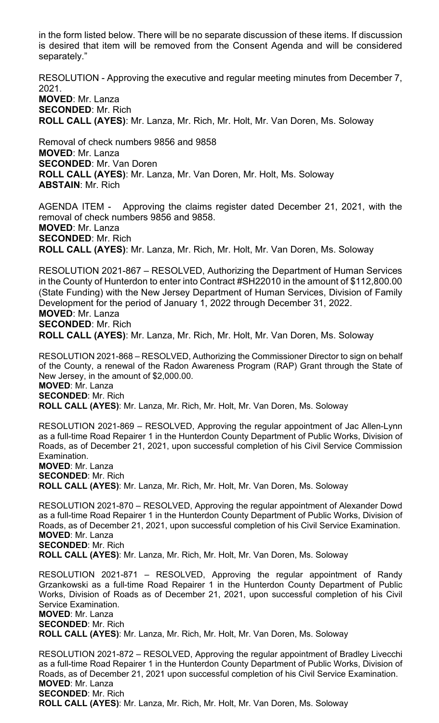in the form listed below. There will be no separate discussion of these items. If discussion is desired that item will be removed from the Consent Agenda and will be considered separately."

RESOLUTION - Approving the executive and regular meeting minutes from December 7, 2021. **MOVED**: Mr. Lanza **SECONDED**: Mr. Rich **ROLL CALL (AYES)**: Mr. Lanza, Mr. Rich, Mr. Holt, Mr. Van Doren, Ms. Soloway

Removal of check numbers 9856 and 9858 **MOVED**: Mr. Lanza **SECONDED**: Mr. Van Doren **ROLL CALL (AYES)**: Mr. Lanza, Mr. Van Doren, Mr. Holt, Ms. Soloway **ABSTAIN**: Mr. Rich

AGENDA ITEM - Approving the claims register dated December 21, 2021, with the removal of check numbers 9856 and 9858. **MOVED**: Mr. Lanza **SECONDED**: Mr. Rich **ROLL CALL (AYES)**: Mr. Lanza, Mr. Rich, Mr. Holt, Mr. Van Doren, Ms. Soloway

RESOLUTION 2021-867 – RESOLVED, Authorizing the Department of Human Services in the County of Hunterdon to enter into Contract #SH22010 in the amount of \$112,800.00 (State Funding) with the New Jersey Department of Human Services, Division of Family Development for the period of January 1, 2022 through December 31, 2022. **MOVED**: Mr. Lanza **SECONDED**: Mr. Rich **ROLL CALL (AYES)**: Mr. Lanza, Mr. Rich, Mr. Holt, Mr. Van Doren, Ms. Soloway

RESOLUTION 2021-868 – RESOLVED, Authorizing the Commissioner Director to sign on behalf of the County, a renewal of the Radon Awareness Program (RAP) Grant through the State of New Jersey, in the amount of \$2,000.00. **MOVED**: Mr. Lanza **SECONDED**: Mr. Rich **ROLL CALL (AYES)**: Mr. Lanza, Mr. Rich, Mr. Holt, Mr. Van Doren, Ms. Soloway

RESOLUTION 2021-869 – RESOLVED, Approving the regular appointment of Jac Allen-Lynn as a full-time Road Repairer 1 in the Hunterdon County Department of Public Works, Division of Roads, as of December 21, 2021, upon successful completion of his Civil Service Commission Examination. **MOVED**: Mr. Lanza **SECONDED**: Mr. Rich

**ROLL CALL (AYES)**: Mr. Lanza, Mr. Rich, Mr. Holt, Mr. Van Doren, Ms. Soloway

RESOLUTION 2021-870 – RESOLVED, Approving the regular appointment of Alexander Dowd as a full-time Road Repairer 1 in the Hunterdon County Department of Public Works, Division of Roads, as of December 21, 2021, upon successful completion of his Civil Service Examination. **MOVED**: Mr. Lanza **SECONDED**: Mr. Rich **ROLL CALL (AYES)**: Mr. Lanza, Mr. Rich, Mr. Holt, Mr. Van Doren, Ms. Soloway

RESOLUTION 2021-871 – RESOLVED, Approving the regular appointment of Randy Grzankowski as a full-time Road Repairer 1 in the Hunterdon County Department of Public Works, Division of Roads as of December 21, 2021, upon successful completion of his Civil Service Examination. **MOVED**: Mr. Lanza **SECONDED**: Mr. Rich **ROLL CALL (AYES)**: Mr. Lanza, Mr. Rich, Mr. Holt, Mr. Van Doren, Ms. Soloway

RESOLUTION 2021-872 – RESOLVED, Approving the regular appointment of Bradley Livecchi as a full-time Road Repairer 1 in the Hunterdon County Department of Public Works, Division of Roads, as of December 21, 2021 upon successful completion of his Civil Service Examination. **MOVED**: Mr. Lanza **SECONDED**: Mr. Rich **ROLL CALL (AYES)**: Mr. Lanza, Mr. Rich, Mr. Holt, Mr. Van Doren, Ms. Soloway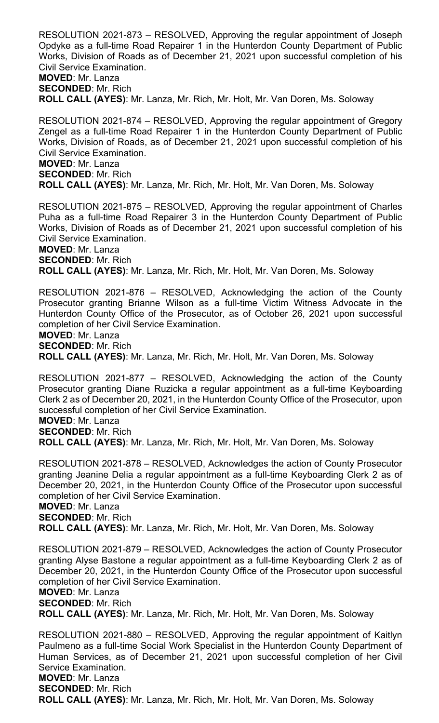RESOLUTION 2021-873 – RESOLVED, Approving the regular appointment of Joseph Opdyke as a full-time Road Repairer 1 in the Hunterdon County Department of Public Works, Division of Roads as of December 21, 2021 upon successful completion of his Civil Service Examination. **MOVED**: Mr. Lanza

**SECONDED**: Mr. Rich

**ROLL CALL (AYES)**: Mr. Lanza, Mr. Rich, Mr. Holt, Mr. Van Doren, Ms. Soloway

RESOLUTION 2021-874 – RESOLVED, Approving the regular appointment of Gregory Zengel as a full-time Road Repairer 1 in the Hunterdon County Department of Public Works, Division of Roads, as of December 21, 2021 upon successful completion of his Civil Service Examination. **MOVED**: Mr. Lanza

**SECONDED**: Mr. Rich

**ROLL CALL (AYES)**: Mr. Lanza, Mr. Rich, Mr. Holt, Mr. Van Doren, Ms. Soloway

RESOLUTION 2021-875 – RESOLVED, Approving the regular appointment of Charles Puha as a full-time Road Repairer 3 in the Hunterdon County Department of Public Works, Division of Roads as of December 21, 2021 upon successful completion of his Civil Service Examination. **MOVED**: Mr. Lanza **SECONDED**: Mr. Rich

**ROLL CALL (AYES)**: Mr. Lanza, Mr. Rich, Mr. Holt, Mr. Van Doren, Ms. Soloway

RESOLUTION 2021-876 – RESOLVED, Acknowledging the action of the County Prosecutor granting Brianne Wilson as a full-time Victim Witness Advocate in the Hunterdon County Office of the Prosecutor, as of October 26, 2021 upon successful completion of her Civil Service Examination.

**MOVED**: Mr. Lanza

**SECONDED**: Mr. Rich

**ROLL CALL (AYES)**: Mr. Lanza, Mr. Rich, Mr. Holt, Mr. Van Doren, Ms. Soloway

RESOLUTION 2021-877 – RESOLVED, Acknowledging the action of the County Prosecutor granting Diane Ruzicka a regular appointment as a full-time Keyboarding Clerk 2 as of December 20, 2021, in the Hunterdon County Office of the Prosecutor, upon successful completion of her Civil Service Examination.

**MOVED**: Mr. Lanza

**SECONDED**: Mr. Rich

**ROLL CALL (AYES)**: Mr. Lanza, Mr. Rich, Mr. Holt, Mr. Van Doren, Ms. Soloway

RESOLUTION 2021-878 – RESOLVED, Acknowledges the action of County Prosecutor granting Jeanine Delia a regular appointment as a full-time Keyboarding Clerk 2 as of December 20, 2021, in the Hunterdon County Office of the Prosecutor upon successful completion of her Civil Service Examination. **MOVED**: Mr. Lanza **SECONDED**: Mr. Rich

**ROLL CALL (AYES)**: Mr. Lanza, Mr. Rich, Mr. Holt, Mr. Van Doren, Ms. Soloway

RESOLUTION 2021-879 – RESOLVED, Acknowledges the action of County Prosecutor granting Alyse Bastone a regular appointment as a full-time Keyboarding Clerk 2 as of December 20, 2021, in the Hunterdon County Office of the Prosecutor upon successful completion of her Civil Service Examination.

**MOVED**: Mr. Lanza

**SECONDED**: Mr. Rich

**ROLL CALL (AYES)**: Mr. Lanza, Mr. Rich, Mr. Holt, Mr. Van Doren, Ms. Soloway

RESOLUTION 2021-880 – RESOLVED, Approving the regular appointment of Kaitlyn Paulmeno as a full-time Social Work Specialist in the Hunterdon County Department of Human Services, as of December 21, 2021 upon successful completion of her Civil Service Examination. **MOVED**: Mr. Lanza **SECONDED**: Mr. Rich **ROLL CALL (AYES)**: Mr. Lanza, Mr. Rich, Mr. Holt, Mr. Van Doren, Ms. Soloway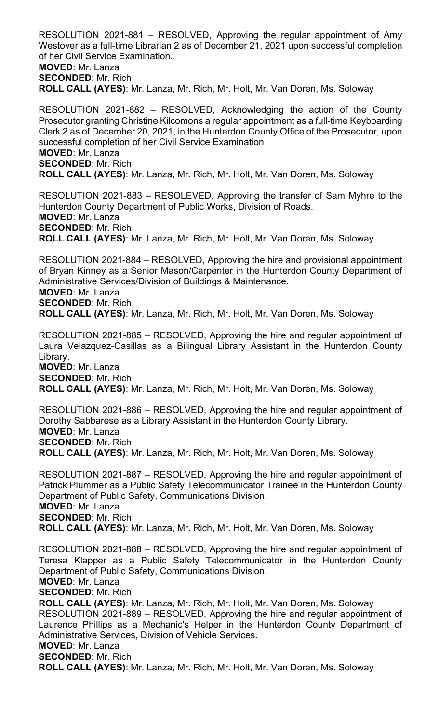RESOLUTION 2021-881 – RESOLVED, Approving the regular appointment of Amy Westover as a full-time Librarian 2 as of December 21, 2021 upon successful completion of her Civil Service Examination. **MOVED**: Mr. Lanza **SECONDED**: Mr. Rich **ROLL CALL (AYES)**: Mr. Lanza, Mr. Rich, Mr. Holt, Mr. Van Doren, Ms. Soloway

RESOLUTION 2021-882 – RESOLVED, Acknowledging the action of the County Prosecutor granting Christine Kilcomons a regular appointment as a full-time Keyboarding Clerk 2 as of December 20, 2021, in the Hunterdon County Office of the Prosecutor, upon successful completion of her Civil Service Examination **MOVED**: Mr. Lanza **SECONDED**: Mr. Rich **ROLL CALL (AYES)**: Mr. Lanza, Mr. Rich, Mr. Holt, Mr. Van Doren, Ms. Soloway

RESOLUTION 2021-883 – RESOLEVED, Approving the transfer of Sam Myhre to the Hunterdon County Department of Public Works, Division of Roads. **MOVED**: Mr. Lanza **SECONDED**: Mr. Rich **ROLL CALL (AYES)**: Mr. Lanza, Mr. Rich, Mr. Holt, Mr. Van Doren, Ms. Soloway

RESOLUTION 2021-884 – RESOLVED, Approving the hire and provisional appointment of Bryan Kinney as a Senior Mason/Carpenter in the Hunterdon County Department of Administrative Services/Division of Buildings & Maintenance. **MOVED**: Mr. Lanza **SECONDED**: Mr. Rich **ROLL CALL (AYES)**: Mr. Lanza, Mr. Rich, Mr. Holt, Mr. Van Doren, Ms. Soloway

RESOLUTION 2021-885 – RESOLVED, Approving the hire and regular appointment of Laura Velazquez-Casillas as a Bilingual Library Assistant in the Hunterdon County Library. **MOVED**: Mr. Lanza **SECONDED**: Mr. Rich **ROLL CALL (AYES)**: Mr. Lanza, Mr. Rich, Mr. Holt, Mr. Van Doren, Ms. Soloway

RESOLUTION 2021-886 – RESOLVED, Approving the hire and regular appointment of Dorothy Sabbarese as a Library Assistant in the Hunterdon County Library. **MOVED**: Mr. Lanza **SECONDED**: Mr. Rich **ROLL CALL (AYES)**: Mr. Lanza, Mr. Rich, Mr. Holt, Mr. Van Doren, Ms. Soloway

RESOLUTION 2021-887 – RESOLVED, Approving the hire and regular appointment of Patrick Plummer as a Public Safety Telecommunicator Trainee in the Hunterdon County Department of Public Safety, Communications Division. **MOVED**: Mr. Lanza **SECONDED**: Mr. Rich **ROLL CALL (AYES)**: Mr. Lanza, Mr. Rich, Mr. Holt, Mr. Van Doren, Ms. Soloway

RESOLUTION 2021-888 – RESOLVED, Approving the hire and regular appointment of Teresa Klapper as a Public Safety Telecommunicator in the Hunterdon County Department of Public Safety, Communications Division. **MOVED**: Mr. Lanza

**SECONDED**: Mr. Rich

**ROLL CALL (AYES)**: Mr. Lanza, Mr. Rich, Mr. Holt, Mr. Van Doren, Ms. Soloway RESOLUTION 2021-889 – RESOLVED, Approving the hire and regular appointment of Laurence Phillips as a Mechanic's Helper in the Hunterdon County Department of Administrative Services, Division of Vehicle Services. **MOVED**: Mr. Lanza **SECONDED**: Mr. Rich **ROLL CALL (AYES)**: Mr. Lanza, Mr. Rich, Mr. Holt, Mr. Van Doren, Ms. Soloway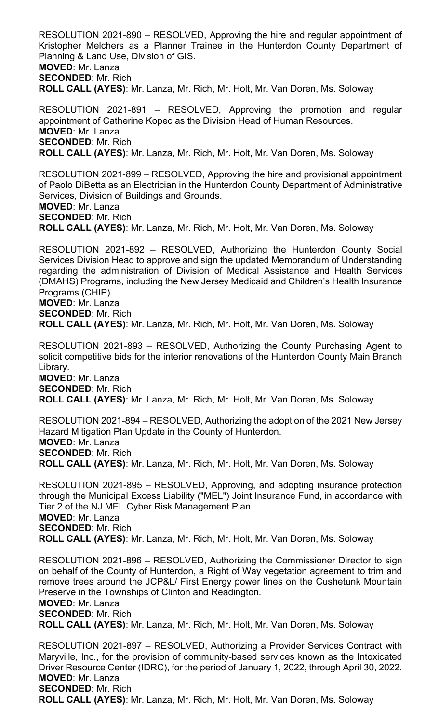RESOLUTION 2021-890 – RESOLVED, Approving the hire and regular appointment of Kristopher Melchers as a Planner Trainee in the Hunterdon County Department of Planning & Land Use, Division of GIS. **MOVED**: Mr. Lanza **SECONDED**: Mr. Rich **ROLL CALL (AYES)**: Mr. Lanza, Mr. Rich, Mr. Holt, Mr. Van Doren, Ms. Soloway

RESOLUTION 2021-891 – RESOLVED, Approving the promotion and regular appointment of Catherine Kopec as the Division Head of Human Resources. **MOVED**: Mr. Lanza **SECONDED**: Mr. Rich **ROLL CALL (AYES)**: Mr. Lanza, Mr. Rich, Mr. Holt, Mr. Van Doren, Ms. Soloway

RESOLUTION 2021-899 – RESOLVED, Approving the hire and provisional appointment of Paolo DiBetta as an Electrician in the Hunterdon County Department of Administrative Services, Division of Buildings and Grounds.

**MOVED**: Mr. Lanza **SECONDED**: Mr. Rich

**ROLL CALL (AYES)**: Mr. Lanza, Mr. Rich, Mr. Holt, Mr. Van Doren, Ms. Soloway

RESOLUTION 2021-892 – RESOLVED, Authorizing the Hunterdon County Social Services Division Head to approve and sign the updated Memorandum of Understanding regarding the administration of Division of Medical Assistance and Health Services (DMAHS) Programs, including the New Jersey Medicaid and Children's Health Insurance Programs (CHIP).

**MOVED**: Mr. Lanza

**SECONDED**: Mr. Rich

**ROLL CALL (AYES)**: Mr. Lanza, Mr. Rich, Mr. Holt, Mr. Van Doren, Ms. Soloway

RESOLUTION 2021-893 – RESOLVED, Authorizing the County Purchasing Agent to solicit competitive bids for the interior renovations of the Hunterdon County Main Branch Library. **MOVED**: Mr. Lanza

**SECONDED**: Mr. Rich

**ROLL CALL (AYES)**: Mr. Lanza, Mr. Rich, Mr. Holt, Mr. Van Doren, Ms. Soloway

RESOLUTION 2021-894 – RESOLVED, Authorizing the adoption of the 2021 New Jersey Hazard Mitigation Plan Update in the County of Hunterdon. **MOVED**: Mr. Lanza **SECONDED**: Mr. Rich **ROLL CALL (AYES)**: Mr. Lanza, Mr. Rich, Mr. Holt, Mr. Van Doren, Ms. Soloway

RESOLUTION 2021-895 – RESOLVED, Approving, and adopting insurance protection through the Municipal Excess Liability ("MEL") Joint Insurance Fund, in accordance with Tier 2 of the NJ MEL Cyber Risk Management Plan. **MOVED**: Mr. Lanza **SECONDED**: Mr. Rich **ROLL CALL (AYES)**: Mr. Lanza, Mr. Rich, Mr. Holt, Mr. Van Doren, Ms. Soloway

RESOLUTION 2021-896 – RESOLVED, Authorizing the Commissioner Director to sign on behalf of the County of Hunterdon, a Right of Way vegetation agreement to trim and remove trees around the JCP&L/ First Energy power lines on the Cushetunk Mountain Preserve in the Townships of Clinton and Readington. **MOVED**: Mr. Lanza **SECONDED**: Mr. Rich

**ROLL CALL (AYES)**: Mr. Lanza, Mr. Rich, Mr. Holt, Mr. Van Doren, Ms. Soloway

RESOLUTION 2021-897 – RESOLVED, Authorizing a Provider Services Contract with Maryville, Inc., for the provision of community-based services known as the Intoxicated Driver Resource Center (IDRC), for the period of January 1, 2022, through April 30, 2022. **MOVED**: Mr. Lanza **SECONDED**: Mr. Rich

**ROLL CALL (AYES)**: Mr. Lanza, Mr. Rich, Mr. Holt, Mr. Van Doren, Ms. Soloway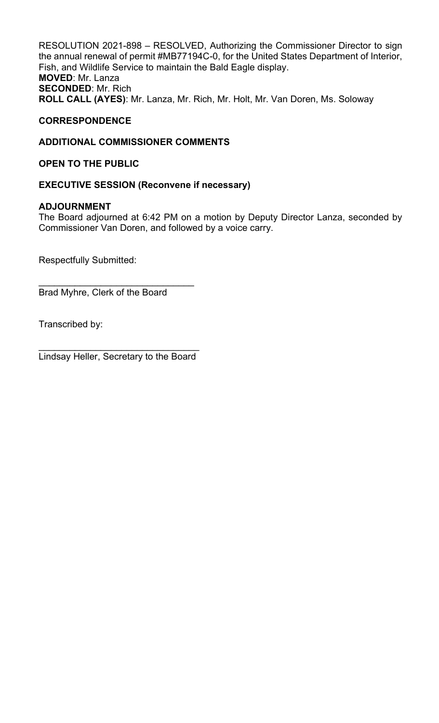RESOLUTION 2021-898 – RESOLVED, Authorizing the Commissioner Director to sign the annual renewal of permit #MB77194C-0, for the United States Department of Interior, Fish, and Wildlife Service to maintain the Bald Eagle display. **MOVED**: Mr. Lanza **SECONDED**: Mr. Rich **ROLL CALL (AYES)**: Mr. Lanza, Mr. Rich, Mr. Holt, Mr. Van Doren, Ms. Soloway

# **CORRESPONDENCE**

# **ADDITIONAL COMMISSIONER COMMENTS**

# **OPEN TO THE PUBLIC**

# **EXECUTIVE SESSION (Reconvene if necessary)**

## **ADJOURNMENT**

The Board adjourned at 6:42 PM on a motion by Deputy Director Lanza, seconded by Commissioner Van Doren, and followed by a voice carry.

Respectfully Submitted:

\_\_\_\_\_\_\_\_\_\_\_\_\_\_\_\_\_\_\_\_\_\_\_\_\_\_\_\_\_\_ Brad Myhre, Clerk of the Board

Transcribed by:

\_\_\_\_\_\_\_\_\_\_\_\_\_\_\_\_\_\_\_\_\_\_\_\_\_\_\_\_\_\_\_ Lindsay Heller, Secretary to the Board